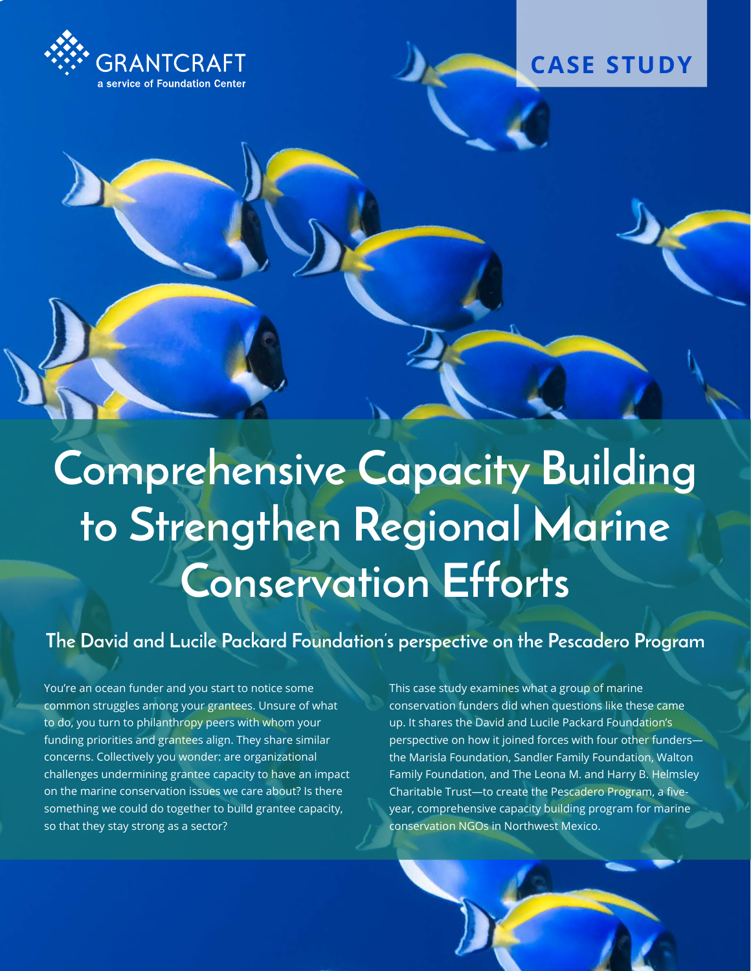



# **Comprehensive Capacity Building to Strengthen Regional Marine Conservation Efforts**

**The David and Lucile Packard Foundation's perspective on the Pescadero Program**

You're an ocean funder and you start to notice some common struggles among your grantees. Unsure of what to do, you turn to philanthropy peers with whom your funding priorities and grantees align. They share similar concerns. Collectively you wonder: are organizational challenges undermining grantee capacity to have an impact on the marine conservation issues we care about? Is there something we could do together to build grantee capacity, so that they stay strong as a sector?

This case study examines what a group of marine conservation funders did when questions like these came up. It shares the David and Lucile Packard Foundation's perspective on how it joined forces with four other funders the Marisla Foundation, Sandler Family Foundation, Walton Family Foundation, and The Leona M. and Harry B. Helmsley Charitable Trust—to create the Pescadero Program, a fiveyear, comprehensive capacity building program for marine conservation NGOs in Northwest Mexico.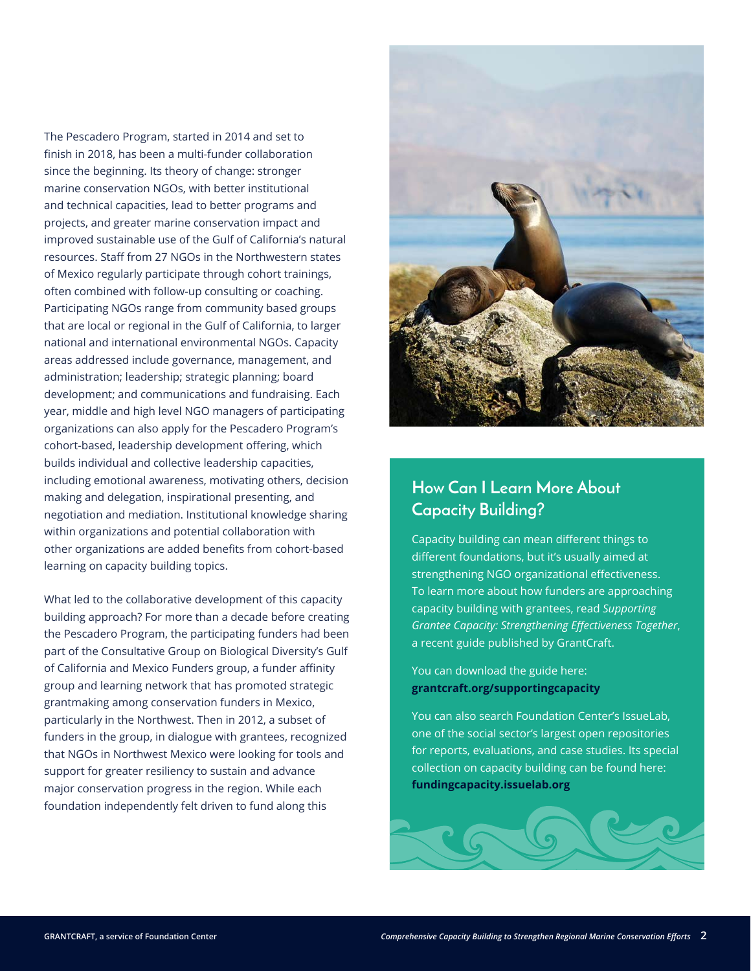The Pescadero Program, started in 2014 and set to finish in 2018, has been a multi-funder collaboration since the beginning. Its theory of change: stronger marine conservation NGOs, with better institutional and technical capacities, lead to better programs and projects, and greater marine conservation impact and improved sustainable use of the Gulf of California's natural resources. Staff from 27 NGOs in the Northwestern states of Mexico regularly participate through cohort trainings, often combined with follow-up consulting or coaching. Participating NGOs range from community based groups that are local or regional in the Gulf of California, to larger national and international environmental NGOs. Capacity areas addressed include governance, management, and administration; leadership; strategic planning; board development; and communications and fundraising. Each year, middle and high level NGO managers of participating organizations can also apply for the Pescadero Program's cohort-based, leadership development offering, which builds individual and collective leadership capacities, including emotional awareness, motivating others, decision making and delegation, inspirational presenting, and negotiation and mediation. Institutional knowledge sharing within organizations and potential collaboration with other organizations are added benefits from cohort-based learning on capacity building topics.

What led to the collaborative development of this capacity building approach? For more than a decade before creating the Pescadero Program, the participating funders had been part of the Consultative Group on Biological Diversity's Gulf of California and Mexico Funders group, a funder affinity group and learning network that has promoted strategic grantmaking among conservation funders in Mexico, particularly in the Northwest. Then in 2012, a subset of funders in the group, in dialogue with grantees, recognized that NGOs in Northwest Mexico were looking for tools and support for greater resiliency to sustain and advance major conservation progress in the region. While each foundation independently felt driven to fund along this



### **How Can I Learn More About Capacity Building?**

Capacity building can mean different things to different foundations, but it's usually aimed at strengthening NGO organizational effectiveness. To learn more about how funders are approaching capacity building with grantees, read *Supporting Grantee Capacity: Strengthening Effectiveness Together*, a recent guide published by GrantCraft.

You can download the guide here: **[grantcraft.org/supportingcapacity](http://grantcraft.org/supportingcapacity)**

You can also search Foundation Center's IssueLab, one of the social sector's largest open repositories for reports, evaluations, and case studies. Its special collection on capacity building can be found here: **[fundingcapacity.issuelab.org](http://fundingcapacity.issuelab.org)**

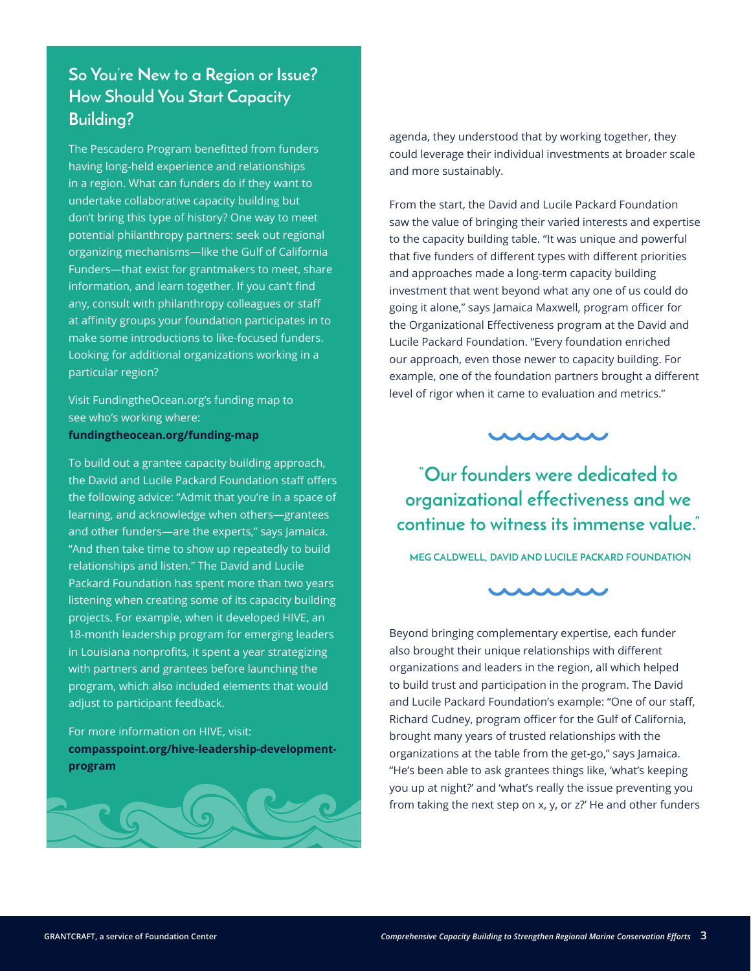## **So You're New to a Region or Issue? How Should You Start Capacity Building?**

The Pescadero Program benefitted from funders having long-held experience and relationships in a region. What can funders do if they want to undertake collaborative capacity building but don't bring this type of history? One way to meet potential philanthropy partners: seek out regional organizing mechanisms—like the Gulf of California Funders—that exist for grantmakers to meet, share information, and learn together. If you can't find any, consult with philanthropy colleagues or staff at affinity groups your foundation participates in to make some introductions to like-focused funders. Looking for additional organizations working in a particular region?

Visit FundingtheOcean.org's funding map to see who's working where: **[fundingtheocean.org/funding-map](http://fundingtheocean.org/funding-map )**

To build out a grantee capacity building approach, the David and Lucile Packard Foundation staff offers the following advice: "Admit that you're in a space of learning, and acknowledge when others—grantees and other funders—are the experts," says Jamaica. "And then take time to show up repeatedly to build relationships and listen." The David and Lucile Packard Foundation has spent more than two years listening when creating some of its capacity building projects. For example, when it developed HIVE, an 18-month leadership program for emerging leaders in Louisiana nonprofits, it spent a year strategizing with partners and grantees before launching the program, which also included elements that would adjust to participant feedback.

#### For more information on HIVE, visit: **[compasspoint.org/hive-leadership-development](http://compasspoint.org/hive-leadership-development-program)[program](http://compasspoint.org/hive-leadership-development-program)**



agenda, they understood that by working together, they could leverage their individual investments at broader scale and more sustainably.

From the start, the David and Lucile Packard Foundation saw the value of bringing their varied interests and expertise to the capacity building table. "It was unique and powerful that five funders of different types with different priorities and approaches made a long-term capacity building investment that went beyond what any one of us could do going it alone," says Jamaica Maxwell, program officer for the Organizational Effectiveness program at the David and Lucile Packard Foundation. "Every foundation enriched our approach, even those newer to capacity building. For example, one of the foundation partners brought a different level of rigor when it came to evaluation and metrics."



**"Our founders were dedicated to organizational effectiveness and we continue to witness its immense value."**

**MEG CALDWELL, DAVID AND LUCILE PACKARD FOUNDATION**



Beyond bringing complementary expertise, each funder also brought their unique relationships with different organizations and leaders in the region, all which helped to build trust and participation in the program. The David and Lucile Packard Foundation's example: "One of our staff, Richard Cudney, program officer for the Gulf of California, brought many years of trusted relationships with the organizations at the table from the get-go," says Jamaica. "He's been able to ask grantees things like, 'what's keeping you up at night?' and 'what's really the issue preventing you from taking the next step on x, y, or z?' He and other funders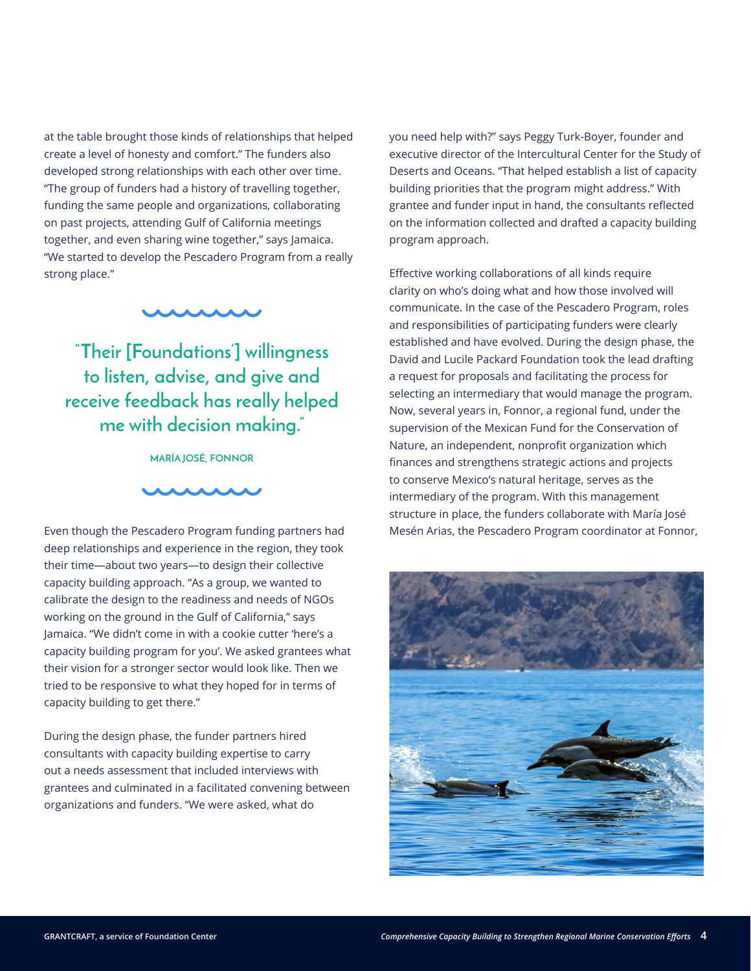at the table brought those kinds of relationships that helped create a level of honesty and comfort." The funders also developed strong relationships with each other over time. "The group of funders had a history of travelling together, funding the same people and organizations, collaborating on past projects, attending Gulf of California meetings together, and even sharing wine together," says Jamaica. "We started to develop the Pescadero Program from a really strong place."



**"Their [Foundations'] willingness to listen, advise, and give and receive feedback has really helped me with decision making."** 

**MARÍA JOSÉ, FONNOR** 



Even though the Pescadero Program funding partners had deep relationships and experience in the region, they took their time—about two years—to design their collective capacity building approach. "As a group, we wanted to calibrate the design to the readiness and needs of NGOs working on the ground in the Gulf of California," says Jamaica. "We didn't come in with a cookie cutter 'here's a capacity building program for you'. We asked grantees what their vision for a stronger sector would look like. Then we tried to be responsive to what they hoped for in terms of capacity building to get there."

During the design phase, the funder partners hired consultants with capacity building expertise to carry out a needs assessment that included interviews with grantees and culminated in a facilitated convening between organizations and funders. "We were asked, what do

you need help with?" says Peggy Turk-Boyer, founder and executive director of the Intercultural Center for the Study of Deserts and Oceans. "That helped establish a list of capacity building priorities that the program might address." With grantee and funder input in hand, the consultants reflected on the information collected and drafted a capacity building program approach.

Effective working collaborations of all kinds require clarity on who's doing what and how those involved will communicate. In the case of the Pescadero Program, roles and responsibilities of participating funders were clearly established and have evolved. During the design phase, the David and Lucile Packard Foundation took the lead drafting a request for proposals and facilitating the process for selecting an intermediary that would manage the program. Now, several years in, Fonnor, a regional fund, under the supervision of the Mexican Fund for the Conservation of Nature, an independent, nonprofit organization which finances and strengthens strategic actions and projects to conserve Mexico's natural heritage, serves as the intermediary of the program. With this management structure in place, the funders collaborate with María José Mesén Arias, the Pescadero Program coordinator at Fonnor,

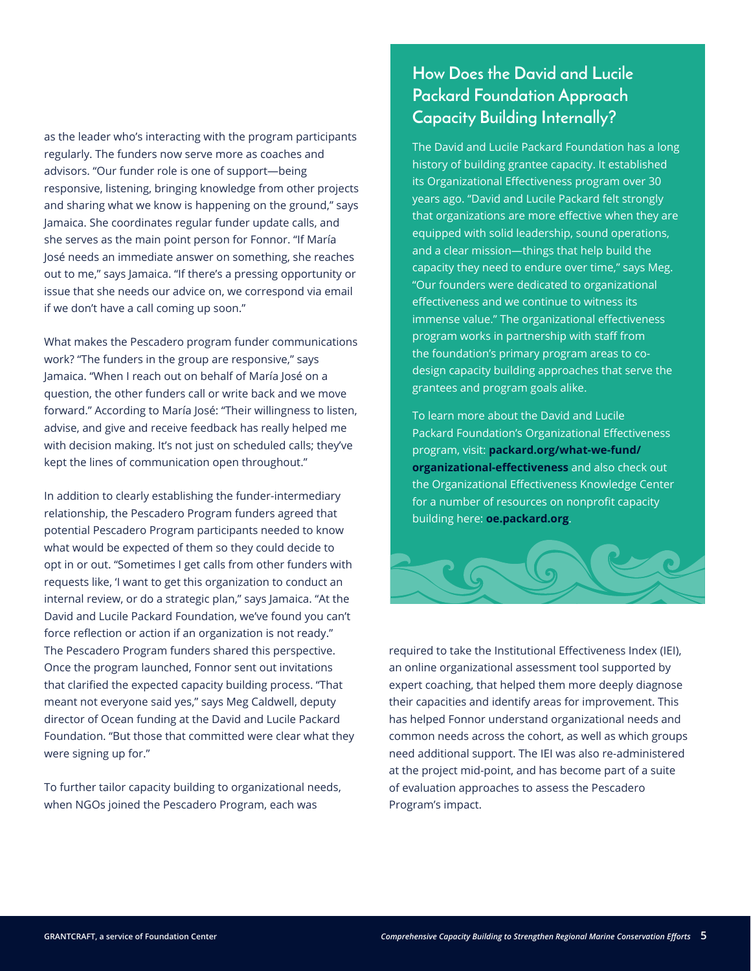as the leader who's interacting with the program participants regularly. The funders now serve more as coaches and advisors. "Our funder role is one of support—being responsive, listening, bringing knowledge from other projects and sharing what we know is happening on the ground," says Jamaica. She coordinates regular funder update calls, and she serves as the main point person for Fonnor. "If María José needs an immediate answer on something, she reaches out to me," says Jamaica. "If there's a pressing opportunity or issue that she needs our advice on, we correspond via email if we don't have a call coming up soon."

What makes the Pescadero program funder communications work? "The funders in the group are responsive," says Jamaica. "When I reach out on behalf of María José on a question, the other funders call or write back and we move forward." According to María José: "Their willingness to listen, advise, and give and receive feedback has really helped me with decision making. It's not just on scheduled calls; they've kept the lines of communication open throughout."

In addition to clearly establishing the funder-intermediary relationship, the Pescadero Program funders agreed that potential Pescadero Program participants needed to know what would be expected of them so they could decide to opt in or out. "Sometimes I get calls from other funders with requests like, 'I want to get this organization to conduct an internal review, or do a strategic plan," says Jamaica. "At the David and Lucile Packard Foundation, we've found you can't force reflection or action if an organization is not ready." The Pescadero Program funders shared this perspective. Once the program launched, Fonnor sent out invitations that clarified the expected capacity building process. "That meant not everyone said yes," says Meg Caldwell, deputy director of Ocean funding at the David and Lucile Packard Foundation. "But those that committed were clear what they were signing up for."

To further tailor capacity building to organizational needs, when NGOs joined the Pescadero Program, each was

## **How Does the David and Lucile Packard Foundation Approach Capacity Building Internally?**

The David and Lucile Packard Foundation has a long history of building grantee capacity. It established its Organizational Effectiveness program over 30 years ago. "David and Lucile Packard felt strongly that organizations are more effective when they are equipped with solid leadership, sound operations, and a clear mission—things that help build the capacity they need to endure over time," says Meg. "Our founders were dedicated to organizational effectiveness and we continue to witness its immense value." The organizational effectiveness program works in partnership with staff from the foundation's primary program areas to codesign capacity building approaches that serve the grantees and program goals alike.

To learn more about the David and Lucile Packard Foundation's Organizational Effectiveness program, visit: **[packard.org/what-we-fund/](http://packard.org/what-we-fund/organizational-effectiveness) [organizational-effectiveness](http://packard.org/what-we-fund/organizational-effectiveness)** and also check out the Organizational Effectiveness Knowledge Center for a number of resources on nonprofit capacity building here: **[oe.packard.org](http://oe.packard.org)**.



required to take the Institutional Effectiveness Index (IEI), an online organizational assessment tool supported by expert coaching, that helped them more deeply diagnose their capacities and identify areas for improvement. This has helped Fonnor understand organizational needs and common needs across the cohort, as well as which groups need additional support. The IEI was also re-administered at the project mid-point, and has become part of a suite of evaluation approaches to assess the Pescadero Program's impact.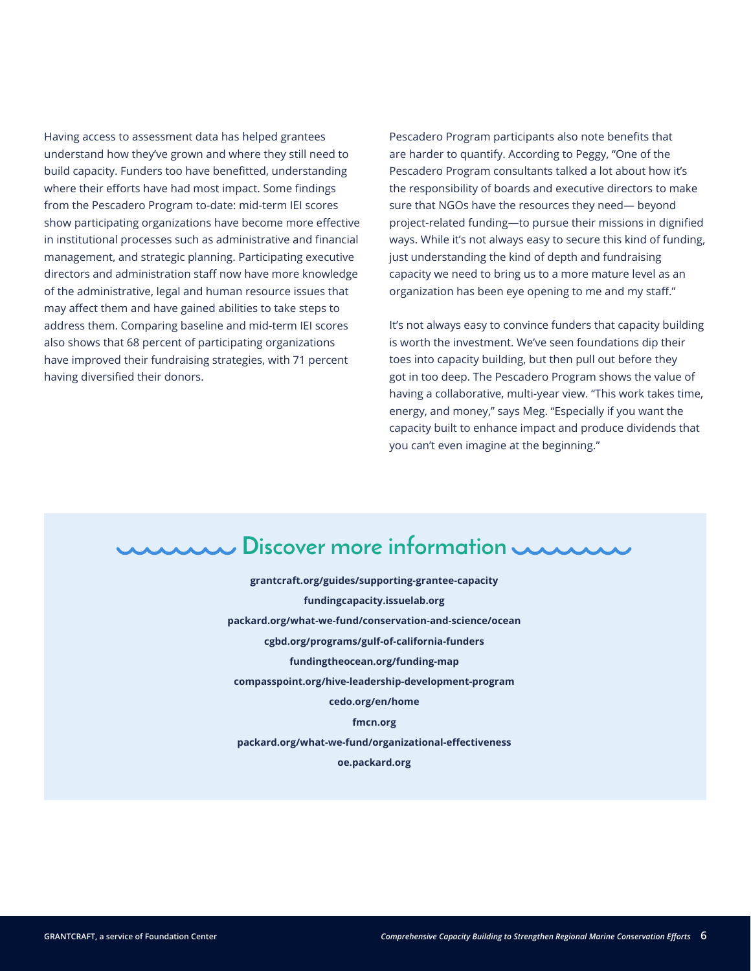Having access to assessment data has helped grantees understand how they've grown and where they still need to build capacity. Funders too have benefitted, understanding where their efforts have had most impact. Some findings from the Pescadero Program to-date: mid-term IEI scores show participating organizations have become more effective in institutional processes such as administrative and financial management, and strategic planning. Participating executive directors and administration staff now have more knowledge of the administrative, legal and human resource issues that may affect them and have gained abilities to take steps to address them. Comparing baseline and mid-term IEI scores also shows that 68 percent of participating organizations have improved their fundraising strategies, with 71 percent having diversified their donors.

Pescadero Program participants also note benefits that are harder to quantify. According to Peggy, "One of the Pescadero Program consultants talked a lot about how it's the responsibility of boards and executive directors to make sure that NGOs have the resources they need— beyond project-related funding—to pursue their missions in dignified ways. While it's not always easy to secure this kind of funding, just understanding the kind of depth and fundraising capacity we need to bring us to a more mature level as an organization has been eye opening to me and my staff."

It's not always easy to convince funders that capacity building is worth the investment. We've seen foundations dip their toes into capacity building, but then pull out before they got in too deep. The Pescadero Program shows the value of having a collaborative, multi-year view. "This work takes time, energy, and money," says Meg. "Especially if you want the capacity built to enhance impact and produce dividends that you can't even imagine at the beginning."

## **Discover more information**

**[grantcraft.org/guides/supporting-grantee-capacity](http://grantcraft.org/guides/supporting-grantee-capacity)  [fundingcapacity.issuelab.org](http://fundingcapacity.issuelab.org)  [packard.org/what-we-fund/conservation-and-science/ocean](http://packard.org/what-we-fund/conservation-and-science/ocean) [cgbd.org/programs/gulf-of-california-funders](http://cgbd.org/programs/gulf-of-california-funders) [fundingtheocean.org/funding-map](http://fundingtheocean.org/funding-map) [compasspoint.org/hive-leadership-development-program](http://compasspoint.org/hive-leadership-development-program) [cedo.org/en/home](http://cedo.org/en/home) [fmcn.org](http://fmcn.org) [packard.org/what-we-fund/organizational-effectiveness](http://packard.org/what-we-fund/organizational-effectiveness) [oe.packard.org](http://oe.packard.org)**